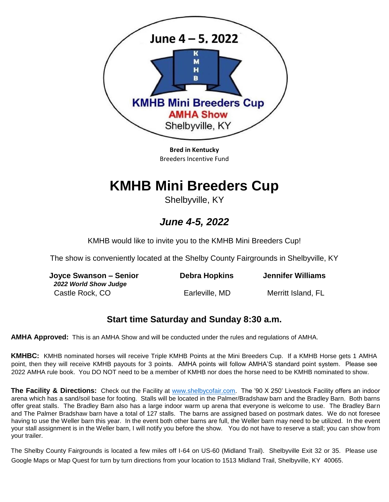

**Bred in Kentucky**  Breeders Incentive Fund

# **KMHB Mini Breeders Cup**

Shelbyville, KY

## *June 4-5, 2022*

KMHB would like to invite you to the KMHB Mini Breeders Cup!

The show is conveniently located at the Shelby County Fairgrounds in Shelbyville, KY

| Joyce Swanson – Senior<br>2022 World Show Judge | Debra Hopkins  | <b>Jennifer Williams</b> |  |
|-------------------------------------------------|----------------|--------------------------|--|
| Castle Rock, CO                                 | Earleville, MD | Merritt Island, FL       |  |

### **Start time Saturday and Sunday 8:30 a.m.**

**AMHA Approved:** This is an AMHA Show and will be conducted under the rules and regulations of AMHA.

**KMHBC:** KMHB nominated horses will receive Triple KMHB Points at the Mini Breeders Cup. If a KMHB Horse gets 1 AMHA point, then they will receive KMHB payouts for 3 points. AMHA points will follow AMHA'S standard point system. Please see 2022 AMHA rule book. You DO NOT need to be a member of KMHB nor does the horse need to be KMHB nominated to show.

**The Facility & Directions:** Check out the Facility at [www.shelbycofair.com.](http://www.shelbycofair.com/) The '90 X 250' Livestock Facility offers an indoor arena which has a sand/soil base for footing. Stalls will be located in the Palmer/Bradshaw barn and the Bradley Barn. Both barns offer great stalls. The Bradley Barn also has a large indoor warm up arena that everyone is welcome to use. The Bradley Barn and The Palmer Bradshaw barn have a total of 127 stalls. The barns are assigned based on postmark dates. We do not foresee having to use the Weller barn this year. In the event both other barns are full, the Weller barn may need to be utilized. In the event your stall assignment is in the Weller barn, I will notify you before the show. You do not have to reserve a stall; you can show from your trailer.

The Shelby County Fairgrounds is located a few miles off I-64 on US-60 (Midland Trail). Shelbyville Exit 32 or 35. Please use Google Maps or Map Quest for turn by turn directions from your location to 1513 Midland Trail, Shelbyville, KY 40065.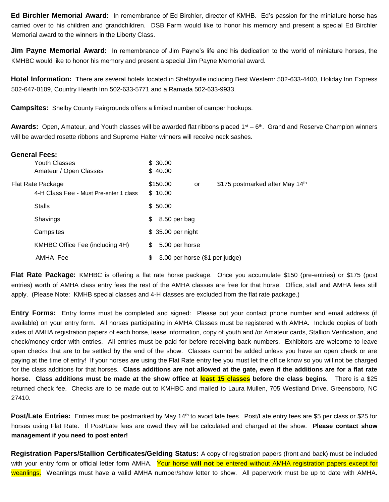**Ed Birchler Memorial Award:** In remembrance of Ed Birchler, director of KMHB. Ed's passion for the miniature horse has carried over to his children and grandchildren. DSB Farm would like to honor his memory and present a special Ed Birchler Memorial award to the winners in the Liberty Class.

**Jim Payne Memorial Award:** In remembrance of Jim Payne's life and his dedication to the world of miniature horses, the KMHBC would like to honor his memory and present a special Jim Payne Memorial award.

**Hotel Information:** There are several hotels located in Shelbyville including Best Western: 502-633-4400, Holiday Inn Express 502-647-0109, Country Hearth Inn 502-633-5771 and a Ramada 502-633-9933.

**Campsites:** Shelby County Fairgrounds offers a limited number of camper hookups.

**General Fees:**

Awards: Open, Amateur, and Youth classes will be awarded flat ribbons placed 1<sup>st</sup> – 6<sup>th</sup>. Grand and Reserve Champion winners will be awarded rosette ribbons and Supreme Halter winners will receive neck sashes.

|          | General Fees:                          |                    |                                |    |                                 |
|----------|----------------------------------------|--------------------|--------------------------------|----|---------------------------------|
|          | <b>Youth Classes</b>                   |                    | \$ 30.00                       |    |                                 |
|          | Amateur / Open Classes                 |                    | \$40.00                        |    |                                 |
|          | Flat Rate Package                      |                    | \$150.00                       | or | \$175 postmarked after May 14th |
|          | 4-H Class Fee - Must Pre-enter 1 class |                    | \$10.00                        |    |                                 |
|          | <b>Stalls</b>                          |                    | \$50.00                        |    |                                 |
|          | Shavings                               | \$                 | 8.50 per bag                   |    |                                 |
|          | Campsites                              | \$ 35.00 per night |                                |    |                                 |
|          | KMHBC Office Fee (including 4H)        | S.                 | 5.00 per horse                 |    |                                 |
| AMHA Fee |                                        | S.                 | 3.00 per horse (\$1 per judge) |    |                                 |

**Flat Rate Package:** KMHBC is offering a flat rate horse package. Once you accumulate \$150 (pre-entries) or \$175 (post entries) worth of AMHA class entry fees the rest of the AMHA classes are free for that horse. Office, stall and AMHA fees still apply. (Please Note: KMHB special classes and 4-H classes are excluded from the flat rate package.)

**Entry Forms:** Entry forms must be completed and signed: Please put your contact phone number and email address (if available) on your entry form. All horses participating in AMHA Classes must be registered with AMHA. Include copies of both sides of AMHA registration papers of each horse, lease information, copy of youth and /or Amateur cards, Stallion Verification, and check/money order with entries. All entries must be paid for before receiving back numbers. Exhibitors are welcome to leave open checks that are to be settled by the end of the show. Classes cannot be added unless you have an open check or are paying at the time of entry! If your horses are using the Flat Rate entry fee you must let the office know so you will not be charged for the class additions for that horses. **Class additions are not allowed at the gate, even if the additions are for a flat rate horse. Class additions must be made at the show office at least 15 classes before the class begins.** There is a \$25 returned check fee. Checks are to be made out to KMHBC and mailed to Laura Mullen, 705 Westland Drive, Greensboro, NC 27410.

**Post/Late Entries:** Entries must be postmarked by May 14th to avoid late fees. Post/Late entry fees are \$5 per class or \$25 for horses using Flat Rate. If Post/Late fees are owed they will be calculated and charged at the show. **Please contact show management if you need to post enter!** 

**Registration Papers/Stallion Certificates/Gelding Status:** A copy of registration papers (front and back) must be included with your entry form or official letter form AMHA. Your horse **will not** be entered without AMHA registration papers except for weanlings. Weanlings must have a valid AMHA number/show letter to show. All paperwork must be up to date with AMHA.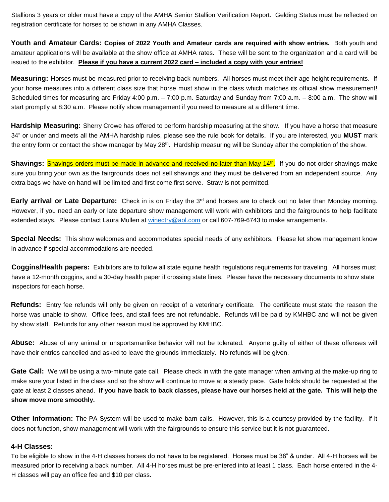Stallions 3 years or older must have a copy of the AMHA Senior Stallion Verification Report. Gelding Status must be reflected on registration certificate for horses to be shown in any AMHA Classes.

**Youth and Amateur Cards: Copies of 2022 Youth and Amateur cards are required with show entries.** Both youth and amateur applications will be available at the show office at AMHA rates. These will be sent to the organization and a card will be issued to the exhibitor. **Please if you have a current 2022 card – included a copy with your entries!**

**Measuring:** Horses must be measured prior to receiving back numbers. All horses must meet their age height requirements. If your horse measures into a different class size that horse must show in the class which matches its official show measurement! Scheduled times for measuring are Friday 4:00 p.m. – 7:00 p.m. Saturday and Sunday from 7:00 a.m. – 8:00 a.m. The show will start promptly at 8:30 a.m. Please notify show management if you need to measure at a different time.

**Hardship Measuring:** Sherry Crowe has offered to perform hardship measuring at the show. If you have a horse that measure 34" or under and meets all the AMHA hardship rules, please see the rule book for details. If you are interested, you **MUST** mark the entry form or contact the show manager by May 28<sup>th</sup>. Hardship measuring will be Sunday after the completion of the show.

Shavings: Shavings orders must be made in advance and received no later than May 14<sup>th</sup>. If you do not order shavings make sure you bring your own as the fairgrounds does not sell shavings and they must be delivered from an independent source. Any extra bags we have on hand will be limited and first come first serve. Straw is not permitted.

**Early arrival or Late Departure:** Check in is on Friday the 3rd and horses are to check out no later than Monday morning. However, if you need an early or late departure show management will work with exhibitors and the fairgrounds to help facilitate extended stays. Please contact Laura Mullen at winectry@aol.com or call 607-769-6743 to make arrangements.

**Special Needs:** This show welcomes and accommodates special needs of any exhibitors. Please let show management know in advance if special accommodations are needed.

**Coggins/Health papers:** Exhibitors are to follow all state equine health regulations requirements for traveling. All horses must have a 12-month coggins, and a 30-day health paper if crossing state lines. Please have the necessary documents to show state inspectors for each horse.

**Refunds:** Entry fee refunds will only be given on receipt of a veterinary certificate. The certificate must state the reason the horse was unable to show. Office fees, and stall fees are not refundable. Refunds will be paid by KMHBC and will not be given by show staff. Refunds for any other reason must be approved by KMHBC.

**Abuse:** Abuse of any animal or unsportsmanlike behavior will not be tolerated. Anyone guilty of either of these offenses will have their entries cancelled and asked to leave the grounds immediately. No refunds will be given.

**Gate Call:** We will be using a two-minute gate call. Please check in with the gate manager when arriving at the make-up ring to make sure your listed in the class and so the show will continue to move at a steady pace. Gate holds should be requested at the gate at least 2 classes ahead. **If you have back to back classes, please have our horses held at the gate. This will help the show move more smoothly.** 

**Other Information:** The PA System will be used to make barn calls. However, this is a courtesy provided by the facility. If it does not function, show management will work with the fairgrounds to ensure this service but it is not guaranteed.

#### **4-H Classes:**

To be eligible to show in the 4-H classes horses do not have to be registered. Horses must be 38" & under. All 4-H horses will be measured prior to receiving a back number. All 4-H horses must be pre-entered into at least 1 class. Each horse entered in the 4- H classes will pay an office fee and \$10 per class.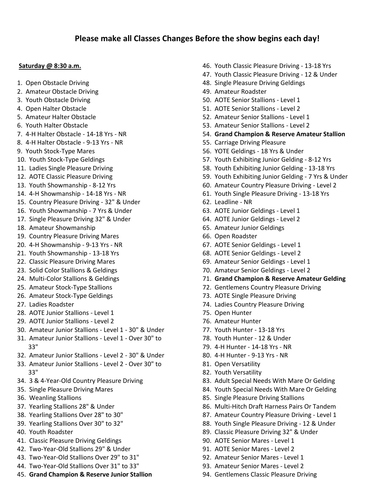#### **Saturday @ 8:30 a.m.**

- 1. Open Obstacle Driving
- 2. Amateur Obstacle Driving
- 3. Youth Obstacle Driving
- 4. Open Halter Obstacle
- 5. Amateur Halter Obstacle
- 6. Youth Halter Obstacle
- 7. 4-H Halter Obstacle 14-18 Yrs NR
- 8. 4-H Halter Obstacle 9-13 Yrs NR
- 9. Youth Stock-Type Mares
- 10. Youth Stock-Type Geldings
- 11. Ladies Single Pleasure Driving
- 12. AOTE Classic Pleasure Driving
- 13. Youth Showmanship 8-12 Yrs
- 14. 4-H Showmanship 14-18 Yrs NR
- 15. Country Pleasure Driving 32" & Under
- 16. Youth Showmanship 7 Yrs & Under
- 17. Single Pleasure Driving 32" & Under
- 18. Amateur Showmanship
- 19. Country Pleasure Driving Mares
- 20. 4-H Showmanship 9-13 Yrs NR
- 21. Youth Showmanship 13-18 Yrs
- 22. Classic Pleasure Driving Mares
- 23. Solid Color Stallions & Geldings
- 24. Multi-Color Stallions & Geldings
- 25. Amateur Stock-Type Stallions
- 26. Amateur Stock-Type Geldings
- 27. Ladies Roadster
- 28. AOTE Junior Stallions Level 1
- 29. AOTE Junior Stallions Level 2
- 30. Amateur Junior Stallions Level 1 30" & Under
- 31. Amateur Junior Stallions Level 1 Over 30" to 33"
- 32. Amateur Junior Stallions Level 2 30" & Under
- 33. Amateur Junior Stallions Level 2 Over 30" to 33"
- 34. 3 & 4-Year-Old Country Pleasure Driving
- 35. Single Pleasure Driving Mares
- 36. Weanling Stallions
- 37. Yearling Stallions 28" & Under
- 38. Yearling Stallions Over 28" to 30"
- 39. Yearling Stallions Over 30" to 32"
- 40. Youth Roadster
- 41. Classic Pleasure Driving Geldings
- 42. Two-Year-Old Stallions 29" & Under
- 43. Two-Year-Old Stallions Over 29" to 31"
- 44. Two-Year-Old Stallions Over 31" to 33"
- 45. **Grand Champion & Reserve Junior Stallion**
- 46. Youth Classic Pleasure Driving 13-18 Yrs
- 47. Youth Classic Pleasure Driving 12 & Under
- 48. Single Pleasure Driving Geldings
- 49. Amateur Roadster
- 50. AOTE Senior Stallions Level 1
- 51. AOTE Senior Stallions Level 2
- 52. Amateur Senior Stallions Level 1
- 53. Amateur Senior Stallions Level 2
- 54. **Grand Champion & Reserve Amateur Stallion**
- 55. Carriage Driving Pleasure
- 56. YOTE Geldings 18 Yrs & Under
- 57. Youth Exhibiting Junior Gelding 8-12 Yrs
- 58. Youth Exhibiting Junior Gelding 13-18 Yrs
- 59. Youth Exhibiting Junior Gelding 7 Yrs & Under
- 60. Amateur Country Pleasure Driving Level 2
- 61. Youth Single Pleasure Driving 13-18 Yrs
- 62. Leadline NR
- 63. AOTE Junior Geldings Level 1
- 64. AOTE Junior Geldings Level 2
- 65. Amateur Junior Geldings
- 66. Open Roadster
- 67. AOTE Senior Geldings Level 1
- 68. AOTE Senior Geldings Level 2
- 69. Amateur Senior Geldings Level 1
- 70. Amateur Senior Geldings Level 2
- 71. **Grand Champion & Reserve Amateur Gelding**
- 72. Gentlemens Country Pleasure Driving
- 73. AOTE Single Pleasure Driving
- 74. Ladies Country Pleasure Driving
- 75. Open Hunter
- 76. Amateur Hunter
- 77. Youth Hunter 13-18 Yrs
- 78. Youth Hunter 12 & Under
- 79. 4-H Hunter 14-18 Yrs NR
- 80. 4-H Hunter 9-13 Yrs NR
- 81. Open Versatility
- 82. Youth Versatility
- 83. Adult Special Needs With Mare Or Gelding
- 84. Youth Special Needs With Mare Or Gelding
- 85. Single Pleasure Driving Stallions
- 86. Multi-Hitch Draft Harness Pairs Or Tandem
- 87. Amateur Country Pleasure Driving Level 1
- 88. Youth Single Pleasure Driving 12 & Under
- 89. Classic Pleasure Driving 32" & Under
- 90. AOTE Senior Mares Level 1
- 91. AOTE Senior Mares Level 2
- 92. Amateur Senior Mares Level 1
- 93. Amateur Senior Mares Level 2
- 94. Gentlemens Classic Pleasure Driving